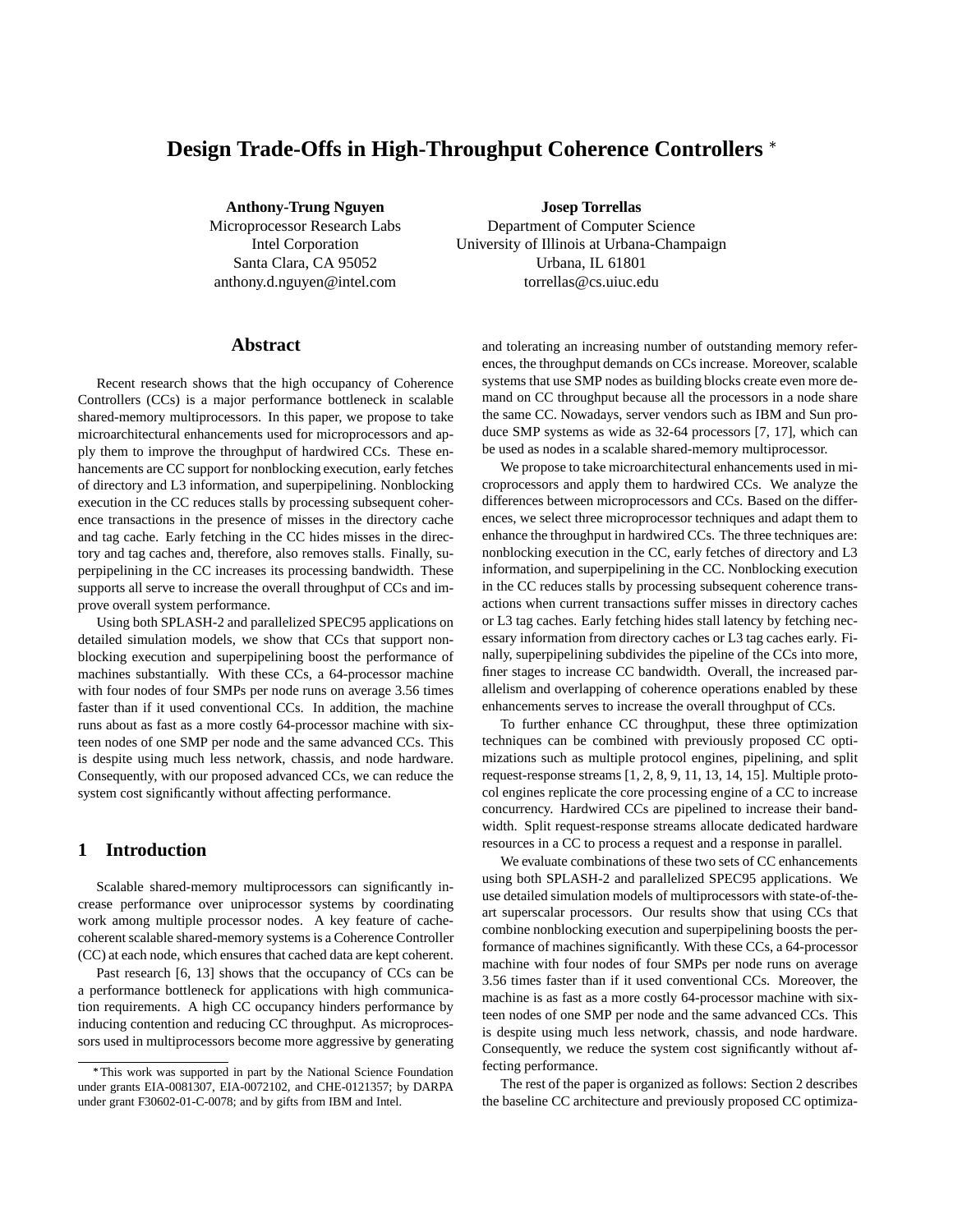# **Design Trade-Offs in High-Throughput Coherence Controllers**

**Anthony-Trung Nguyen** Microprocessor Research Labs Intel Corporation Santa Clara, CA 95052 anthony.d.nguyen@intel.com

**Josep Torrellas** Department of Computer Science University of Illinois at Urbana-Champaign Urbana, IL 61801 torrellas@cs.uiuc.edu

### **Abstract**

Recent research shows that the high occupancy of Coherence Controllers (CCs) is a major performance bottleneck in scalable shared-memory multiprocessors. In this paper, we propose to take microarchitectural enhancements used for microprocessors and apply them to improve the throughput of hardwired CCs. These enhancements are CC support for nonblocking execution, early fetches of directory and L3 information, and superpipelining. Nonblocking execution in the CC reduces stalls by processing subsequent coherence transactions in the presence of misses in the directory cache and tag cache. Early fetching in the CC hides misses in the directory and tag caches and, therefore, also removes stalls. Finally, superpipelining in the CC increases its processing bandwidth. These supports all serve to increase the overall throughput of CCs and improve overall system performance.

Using both SPLASH-2 and parallelized SPEC95 applications on detailed simulation models, we show that CCs that support nonblocking execution and superpipelining boost the performance of machines substantially. With these CCs, a 64-processor machine with four nodes of four SMPs per node runs on average 3.56 times faster than if it used conventional CCs. In addition, the machine runs about as fast as a more costly 64-processor machine with sixteen nodes of one SMP per node and the same advanced CCs. This is despite using much less network, chassis, and node hardware. Consequently, with our proposed advanced CCs, we can reduce the system cost significantly without affecting performance.

# **1 Introduction**

Scalable shared-memory multiprocessors can significantly increase performance over uniprocessor systems by coordinating work among multiple processor nodes. A key feature of cachecoherent scalable shared-memory systems is a Coherence Controller (CC) at each node, which ensures that cached data are kept coherent.

Past research [6, 13] shows that the occupancy of CCs can be a performance bottleneck for applications with high communication requirements. A high CC occupancy hinders performance by inducing contention and reducing CC throughput. As microprocessors used in multiprocessors become more aggressive by generating and tolerating an increasing number of outstanding memory references, the throughput demands on CCs increase. Moreover, scalable systems that use SMP nodes as building blocks create even more demand on CC throughput because all the processors in a node share the same CC. Nowadays, server vendors such as IBM and Sun produce SMP systems as wide as 32-64 processors [7, 17], which can be used as nodes in a scalable shared-memory multiprocessor.

We propose to take microarchitectural enhancements used in microprocessors and apply them to hardwired CCs. We analyze the differences between microprocessors and CCs. Based on the differences, we select three microprocessor techniques and adapt them to enhance the throughput in hardwired CCs. The three techniques are: nonblocking execution in the CC, early fetches of directory and L3 information, and superpipelining in the CC. Nonblocking execution in the CC reduces stalls by processing subsequent coherence transactions when current transactions suffer misses in directory caches or L3 tag caches. Early fetching hides stall latency by fetching necessary information from directory caches or L3 tag caches early. Finally, superpipelining subdivides the pipeline of the CCs into more, finer stages to increase CC bandwidth. Overall, the increased parallelism and overlapping of coherence operations enabled by these enhancements serves to increase the overall throughput of CCs.

To further enhance CC throughput, these three optimization techniques can be combined with previously proposed CC optimizations such as multiple protocol engines, pipelining, and split request-response streams [1, 2, 8, 9, 11, 13, 14, 15]. Multiple protocol engines replicate the core processing engine of a CC to increase concurrency. Hardwired CCs are pipelined to increase their bandwidth. Split request-response streams allocate dedicated hardware resources in a CC to process a request and a response in parallel.

We evaluate combinations of these two sets of CC enhancements using both SPLASH-2 and parallelized SPEC95 applications. We use detailed simulation models of multiprocessors with state-of-theart superscalar processors. Our results show that using CCs that combine nonblocking execution and superpipelining boosts the performance of machines significantly. With these CCs, a 64-processor machine with four nodes of four SMPs per node runs on average 3.56 times faster than if it used conventional CCs. Moreover, the machine is as fast as a more costly 64-processor machine with sixteen nodes of one SMP per node and the same advanced CCs. This is despite using much less network, chassis, and node hardware. Consequently, we reduce the system cost significantly without affecting performance.

The rest of the paper is organized as follows: Section 2 describes the baseline CC architecture and previously proposed CC optimiza-

This work was supported in part by the National Science Foundation under grants EIA-0081307, EIA-0072102, and CHE-0121357; by DARPA under grant F30602-01-C-0078; and by gifts from IBM and Intel.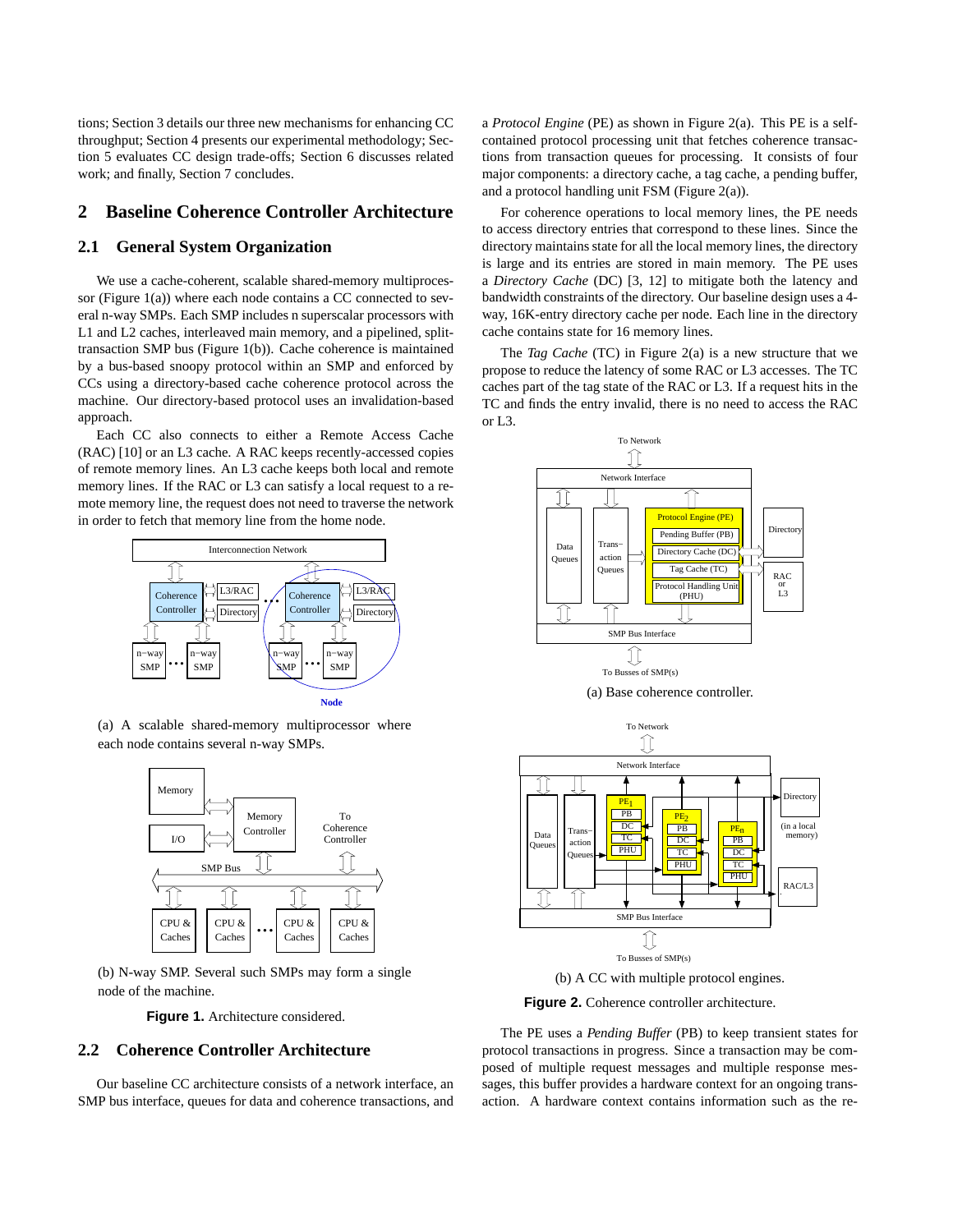tions; Section 3 details our three new mechanisms for enhancing CC throughput; Section 4 presents our experimental methodology; Section 5 evaluates CC design trade-offs; Section 6 discusses related work; and finally, Section 7 concludes.

### **2 Baseline Coherence Controller Architecture**

### **2.1 General System Organization**

We use a cache-coherent, scalable shared-memory multiprocessor (Figure 1(a)) where each node contains a CC connected to several n-way SMPs. Each SMP includes n superscalar processors with L1 and L2 caches, interleaved main memory, and a pipelined, splittransaction SMP bus (Figure 1(b)). Cache coherence is maintained by a bus-based snoopy protocol within an SMP and enforced by CCs using a directory-based cache coherence protocol across the machine. Our directory-based protocol uses an invalidation-based approach.

Each CC also connects to either a Remote Access Cache (RAC) [10] or an L3 cache. A RAC keeps recently-accessed copies of remote memory lines. An L3 cache keeps both local and remote memory lines. If the RAC or L3 can satisfy a local request to a remote memory line, the request does not need to traverse the network in order to fetch that memory line from the home node.



(a) A scalable shared-memory multiprocessor where each node contains several n-way SMPs.



(b) N-way SMP. Several such SMPs may form a single node of the machine.

**Figure 1.** Architecture considered.

### **2.2 Coherence Controller Architecture**

Our baseline CC architecture consists of a network interface, an SMP bus interface, queues for data and coherence transactions, and a *Protocol Engine* (PE) as shown in Figure 2(a). This PE is a selfcontained protocol processing unit that fetches coherence transactions from transaction queues for processing. It consists of four major components: a directory cache, a tag cache, a pending buffer, and a protocol handling unit FSM (Figure 2(a)).

For coherence operations to local memory lines, the PE needs to access directory entries that correspond to these lines. Since the directory maintains state for all the local memory lines, the directory is large and its entries are stored in main memory. The PE uses a *Directory Cache* (DC) [3, 12] to mitigate both the latency and bandwidth constraints of the directory. Our baseline design uses a 4 way, 16K-entry directory cache per node. Each line in the directory cache contains state for 16 memory lines.

The *Tag Cache* (TC) in Figure 2(a) is a new structure that we propose to reduce the latency of some RAC or L3 accesses. The TC caches part of the tag state of the RAC or L3. If a request hits in the TC and finds the entry invalid, there is no need to access the RAC or L3.





(b) A CC with multiple protocol engines.

**Figure 2.** Coherence controller architecture.

The PE uses a *Pending Buffer* (PB) to keep transient states for protocol transactions in progress. Since a transaction may be composed of multiple request messages and multiple response messages, this buffer provides a hardware context for an ongoing transaction. A hardware context contains information such as the re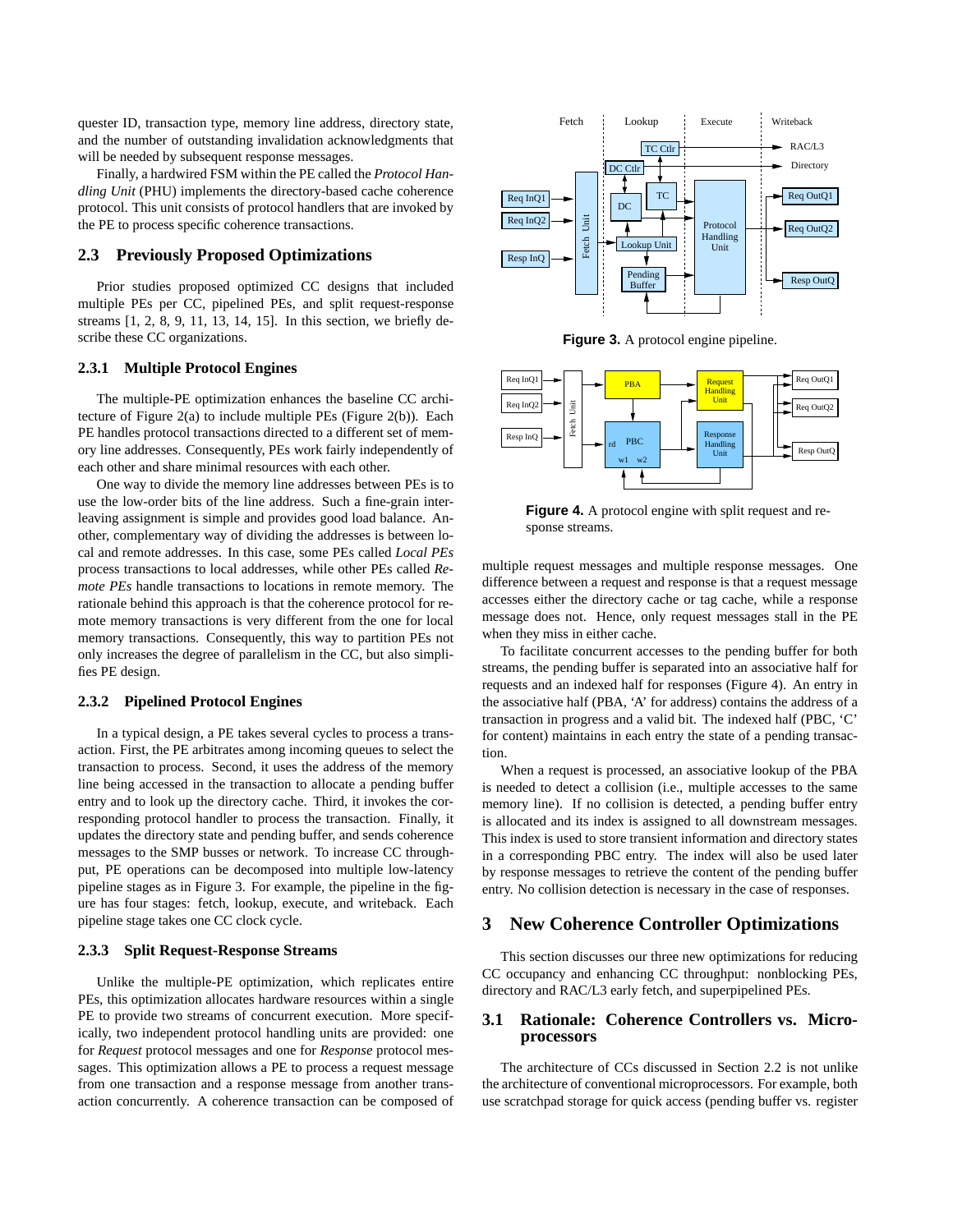quester ID, transaction type, memory line address, directory state, and the number of outstanding invalidation acknowledgments that will be needed by subsequent response messages.

Finally, a hardwired FSM within the PE called the *Protocol Handling Unit* (PHU) implements the directory-based cache coherence protocol. This unit consists of protocol handlers that are invoked by the PE to process specific coherence transactions.

### **2.3 Previously Proposed Optimizations**

Prior studies proposed optimized CC designs that included multiple PEs per CC, pipelined PEs, and split request-response streams [1, 2, 8, 9, 11, 13, 14, 15]. In this section, we briefly describe these CC organizations.

#### **2.3.1 Multiple Protocol Engines**

The multiple-PE optimization enhances the baseline CC architecture of Figure 2(a) to include multiple PEs (Figure 2(b)). Each PE handles protocol transactions directed to a different set of memory line addresses. Consequently, PEs work fairly independently of each other and share minimal resources with each other.

One way to divide the memory line addresses between PEs is to use the low-order bits of the line address. Such a fine-grain interleaving assignment is simple and provides good load balance. Another, complementary way of dividing the addresses is between local and remote addresses. In this case, some PEs called *Local PEs* process transactions to local addresses, while other PEs called *Remote PEs* handle transactions to locations in remote memory. The rationale behind this approach is that the coherence protocol for remote memory transactions is very different from the one for local memory transactions. Consequently, this way to partition PEs not only increases the degree of parallelism in the CC, but also simplifies PE design.

### **2.3.2 Pipelined Protocol Engines**

In a typical design, a PE takes several cycles to process a transaction. First, the PE arbitrates among incoming queues to select the transaction to process. Second, it uses the address of the memory line being accessed in the transaction to allocate a pending buffer entry and to look up the directory cache. Third, it invokes the corresponding protocol handler to process the transaction. Finally, it updates the directory state and pending buffer, and sends coherence messages to the SMP busses or network. To increase CC throughput, PE operations can be decomposed into multiple low-latency pipeline stages as in Figure 3. For example, the pipeline in the figure has four stages: fetch, lookup, execute, and writeback. Each pipeline stage takes one CC clock cycle.

#### **2.3.3 Split Request-Response Streams**

Unlike the multiple-PE optimization, which replicates entire PEs, this optimization allocates hardware resources within a single PE to provide two streams of concurrent execution. More specifically, two independent protocol handling units are provided: one for *Request* protocol messages and one for *Response* protocol messages. This optimization allows a PE to process a request message from one transaction and a response message from another transaction concurrently. A coherence transaction can be composed of



**Figure 3.** A protocol engine pipeline.



**Figure 4.** A protocol engine with split request and response streams.

multiple request messages and multiple response messages. One difference between a request and response is that a request message accesses either the directory cache or tag cache, while a response message does not. Hence, only request messages stall in the PE when they miss in either cache.

To facilitate concurrent accesses to the pending buffer for both streams, the pending buffer is separated into an associative half for requests and an indexed half for responses (Figure 4). An entry in the associative half (PBA, 'A' for address) contains the address of a transaction in progress and a valid bit. The indexed half (PBC, 'C' for content) maintains in each entry the state of a pending transaction.

When a request is processed, an associative lookup of the PBA is needed to detect a collision (i.e., multiple accesses to the same memory line). If no collision is detected, a pending buffer entry is allocated and its index is assigned to all downstream messages. This index is used to store transient information and directory states in a corresponding PBC entry. The index will also be used later by response messages to retrieve the content of the pending buffer entry. No collision detection is necessary in the case of responses.

### **3 New Coherence Controller Optimizations**

This section discusses our three new optimizations for reducing CC occupancy and enhancing CC throughput: nonblocking PEs, directory and RAC/L3 early fetch, and superpipelined PEs.

#### **3.1 Rationale: Coherence Controllers vs. Microprocessors**

The architecture of CCs discussed in Section 2.2 is not unlike the architecture of conventional microprocessors. For example, both use scratchpad storage for quick access (pending buffer vs. register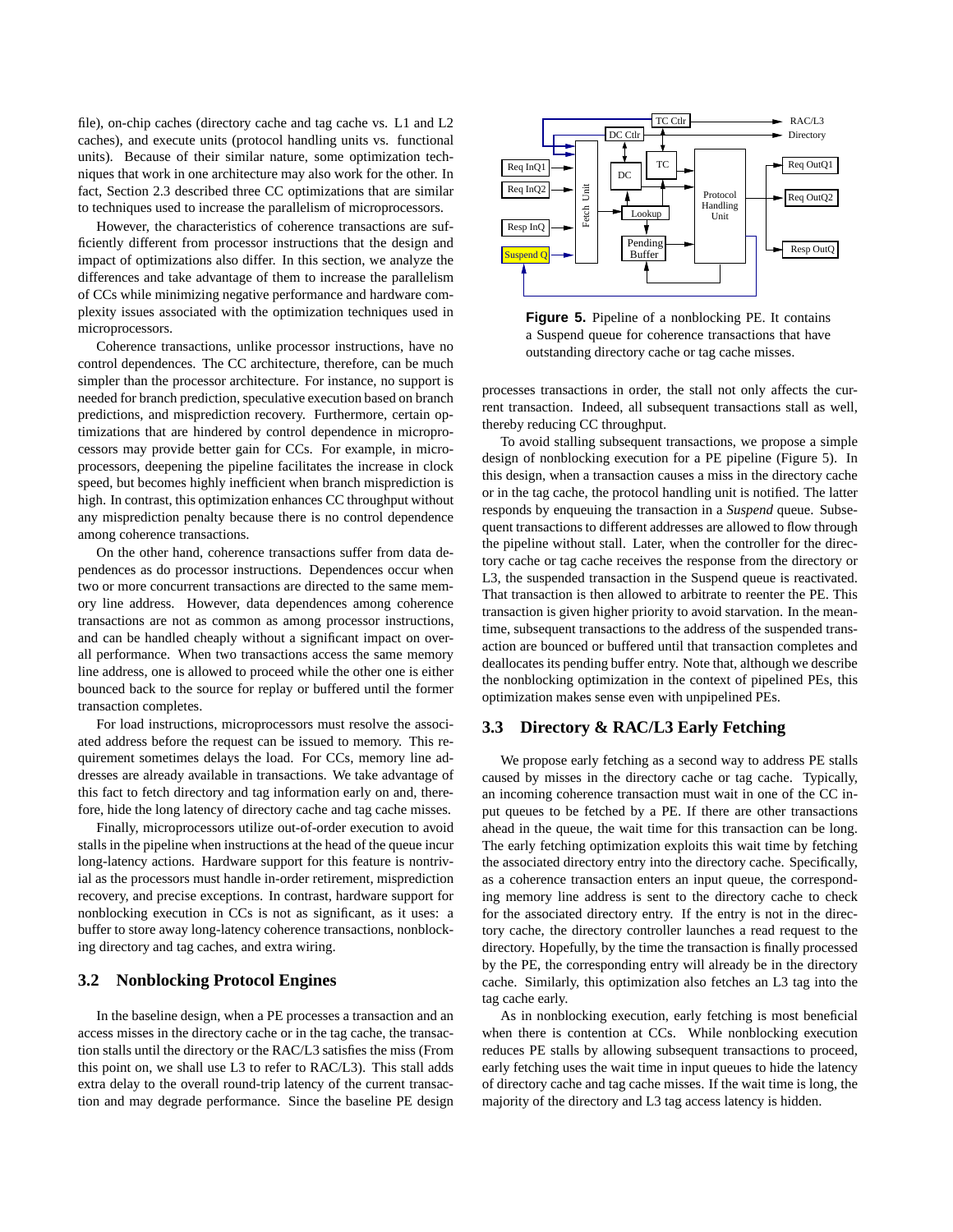file), on-chip caches (directory cache and tag cache vs. L1 and L2 caches), and execute units (protocol handling units vs. functional units). Because of their similar nature, some optimization techniques that work in one architecture may also work for the other. In fact, Section 2.3 described three CC optimizations that are similar to techniques used to increase the parallelism of microprocessors.

However, the characteristics of coherence transactions are sufficiently different from processor instructions that the design and impact of optimizations also differ. In this section, we analyze the differences and take advantage of them to increase the parallelism of CCs while minimizing negative performance and hardware complexity issues associated with the optimization techniques used in microprocessors.

Coherence transactions, unlike processor instructions, have no control dependences. The CC architecture, therefore, can be much simpler than the processor architecture. For instance, no support is needed for branch prediction, speculative execution based on branch predictions, and misprediction recovery. Furthermore, certain optimizations that are hindered by control dependence in microprocessors may provide better gain for CCs. For example, in microprocessors, deepening the pipeline facilitates the increase in clock speed, but becomes highly inefficient when branch misprediction is high. In contrast, this optimization enhances CC throughput without any misprediction penalty because there is no control dependence among coherence transactions.

On the other hand, coherence transactions suffer from data dependences as do processor instructions. Dependences occur when two or more concurrent transactions are directed to the same memory line address. However, data dependences among coherence transactions are not as common as among processor instructions, and can be handled cheaply without a significant impact on overall performance. When two transactions access the same memory line address, one is allowed to proceed while the other one is either bounced back to the source for replay or buffered until the former transaction completes.

For load instructions, microprocessors must resolve the associated address before the request can be issued to memory. This requirement sometimes delays the load. For CCs, memory line addresses are already available in transactions. We take advantage of this fact to fetch directory and tag information early on and, therefore, hide the long latency of directory cache and tag cache misses.

Finally, microprocessors utilize out-of-order execution to avoid stalls in the pipeline when instructions at the head of the queue incur long-latency actions. Hardware support for this feature is nontrivial as the processors must handle in-order retirement, misprediction recovery, and precise exceptions. In contrast, hardware support for nonblocking execution in CCs is not as significant, as it uses: a buffer to store away long-latency coherence transactions, nonblocking directory and tag caches, and extra wiring.

### **3.2 Nonblocking Protocol Engines**

In the baseline design, when a PE processes a transaction and an access misses in the directory cache or in the tag cache, the transaction stalls until the directory or the RAC/L3 satisfies the miss (From this point on, we shall use L3 to refer to RAC/L3). This stall adds extra delay to the overall round-trip latency of the current transaction and may degrade performance. Since the baseline PE design



**Figure 5.** Pipeline of a nonblocking PE. It contains a Suspend queue for coherence transactions that have outstanding directory cache or tag cache misses.

processes transactions in order, the stall not only affects the current transaction. Indeed, all subsequent transactions stall as well, thereby reducing CC throughput.

To avoid stalling subsequent transactions, we propose a simple design of nonblocking execution for a PE pipeline (Figure 5). In this design, when a transaction causes a miss in the directory cache or in the tag cache, the protocol handling unit is notified. The latter responds by enqueuing the transaction in a *Suspend* queue. Subsequent transactions to different addresses are allowed to flow through the pipeline without stall. Later, when the controller for the directory cache or tag cache receives the response from the directory or L3, the suspended transaction in the Suspend queue is reactivated. That transaction is then allowed to arbitrate to reenter the PE. This transaction is given higher priority to avoid starvation. In the meantime, subsequent transactions to the address of the suspended transaction are bounced or buffered until that transaction completes and deallocates its pending buffer entry. Note that, although we describe the nonblocking optimization in the context of pipelined PEs, this optimization makes sense even with unpipelined PEs.

### **3.3 Directory & RAC/L3 Early Fetching**

We propose early fetching as a second way to address PE stalls caused by misses in the directory cache or tag cache. Typically, an incoming coherence transaction must wait in one of the CC input queues to be fetched by a PE. If there are other transactions ahead in the queue, the wait time for this transaction can be long. The early fetching optimization exploits this wait time by fetching the associated directory entry into the directory cache. Specifically, as a coherence transaction enters an input queue, the corresponding memory line address is sent to the directory cache to check for the associated directory entry. If the entry is not in the directory cache, the directory controller launches a read request to the directory. Hopefully, by the time the transaction is finally processed by the PE, the corresponding entry will already be in the directory cache. Similarly, this optimization also fetches an L3 tag into the tag cache early.

As in nonblocking execution, early fetching is most beneficial when there is contention at CCs. While nonblocking execution reduces PE stalls by allowing subsequent transactions to proceed, early fetching uses the wait time in input queues to hide the latency of directory cache and tag cache misses. If the wait time is long, the majority of the directory and L3 tag access latency is hidden.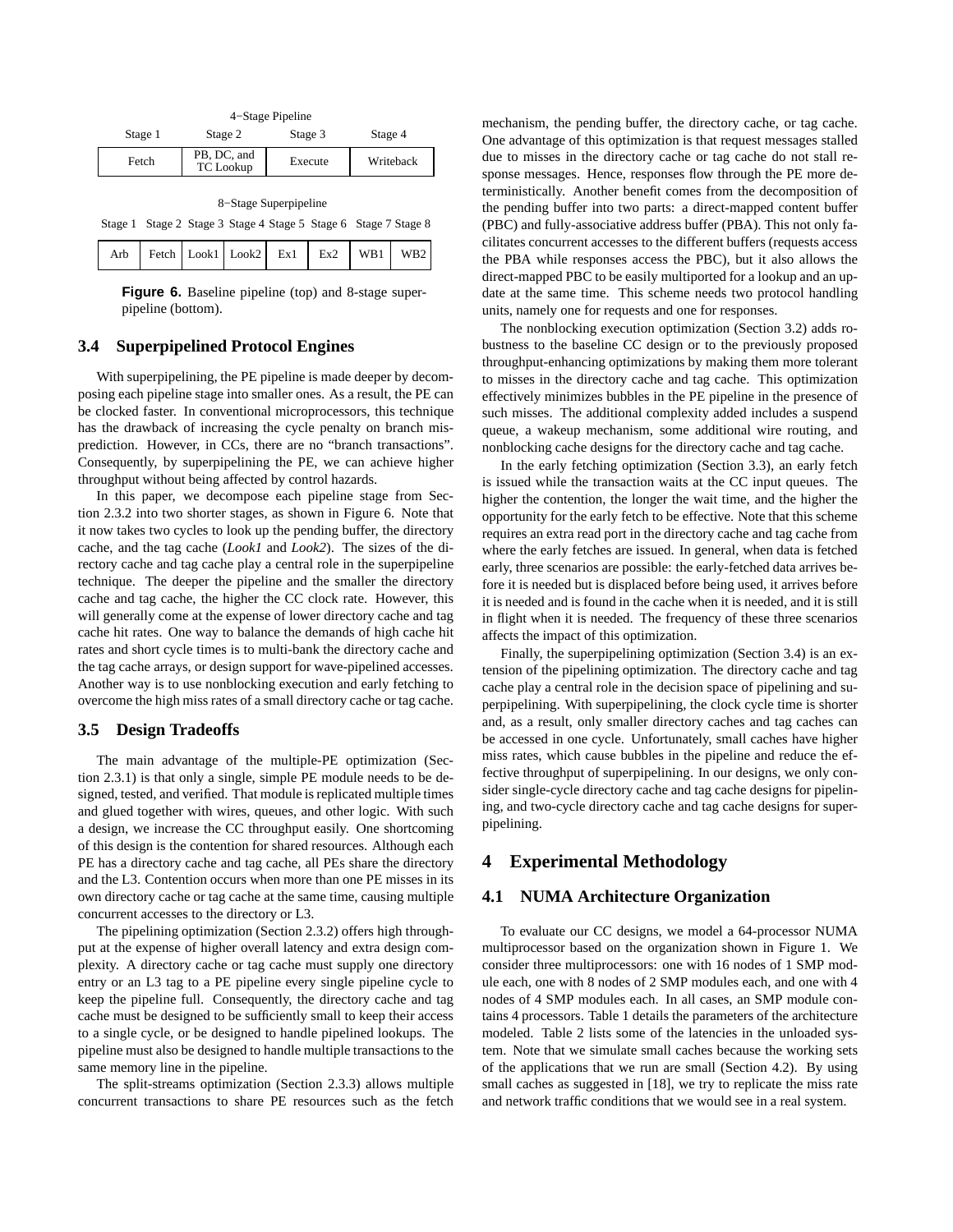| 4–Stage Pipeline                                                                            |                          |         |           |  |
|---------------------------------------------------------------------------------------------|--------------------------|---------|-----------|--|
| Stage 1                                                                                     | Stage 2                  | Stage 3 | Stage 4   |  |
| Fetch                                                                                       | PB, DC, and<br>TC Lookup | Execute | Writeback |  |
| 8–Stage Superpipeline<br>Stage 2 Stage 3 Stage 4 Stage 5 Stage 6 Stage 7 Stage 8<br>Stage 1 |                          |         |           |  |

|  | Arb   Fetch   Look1   Look2   Ex1   Ex2   WB1   WB2 |  |  |
|--|-----------------------------------------------------|--|--|
|  |                                                     |  |  |

**Figure 6.** Baseline pipeline (top) and 8-stage superpipeline (bottom).

# **3.4 Superpipelined Protocol Engines**

With superpipelining, the PE pipeline is made deeper by decomposing each pipeline stage into smaller ones. As a result, the PE can be clocked faster. In conventional microprocessors, this technique has the drawback of increasing the cycle penalty on branch misprediction. However, in CCs, there are no "branch transactions". Consequently, by superpipelining the PE, we can achieve higher throughput without being affected by control hazards.

In this paper, we decompose each pipeline stage from Section 2.3.2 into two shorter stages, as shown in Figure 6. Note that it now takes two cycles to look up the pending buffer, the directory cache, and the tag cache (*Look1* and *Look2*). The sizes of the directory cache and tag cache play a central role in the superpipeline technique. The deeper the pipeline and the smaller the directory cache and tag cache, the higher the CC clock rate. However, this will generally come at the expense of lower directory cache and tag cache hit rates. One way to balance the demands of high cache hit rates and short cycle times is to multi-bank the directory cache and the tag cache arrays, or design support for wave-pipelined accesses. Another way is to use nonblocking execution and early fetching to overcome the high miss rates of a small directory cache or tag cache.

#### **3.5 Design Tradeoffs**

The main advantage of the multiple-PE optimization (Section 2.3.1) is that only a single, simple PE module needs to be designed, tested, and verified. That module is replicated multiple times and glued together with wires, queues, and other logic. With such a design, we increase the CC throughput easily. One shortcoming of this design is the contention for shared resources. Although each PE has a directory cache and tag cache, all PEs share the directory and the L3. Contention occurs when more than one PE misses in its own directory cache or tag cache at the same time, causing multiple concurrent accesses to the directory or L3.

The pipelining optimization (Section 2.3.2) offers high throughput at the expense of higher overall latency and extra design complexity. A directory cache or tag cache must supply one directory entry or an L3 tag to a PE pipeline every single pipeline cycle to keep the pipeline full. Consequently, the directory cache and tag cache must be designed to be sufficiently small to keep their access to a single cycle, or be designed to handle pipelined lookups. The pipeline must also be designed to handle multiple transactions to the same memory line in the pipeline.

The split-streams optimization (Section 2.3.3) allows multiple concurrent transactions to share PE resources such as the fetch

mechanism, the pending buffer, the directory cache, or tag cache. One advantage of this optimization is that request messages stalled due to misses in the directory cache or tag cache do not stall response messages. Hence, responses flow through the PE more deterministically. Another benefit comes from the decomposition of the pending buffer into two parts: a direct-mapped content buffer (PBC) and fully-associative address buffer (PBA). This not only facilitates concurrent accesses to the different buffers (requests access the PBA while responses access the PBC), but it also allows the direct-mapped PBC to be easily multiported for a lookup and an update at the same time. This scheme needs two protocol handling units, namely one for requests and one for responses.

The nonblocking execution optimization (Section 3.2) adds robustness to the baseline CC design or to the previously proposed throughput-enhancing optimizations by making them more tolerant to misses in the directory cache and tag cache. This optimization effectively minimizes bubbles in the PE pipeline in the presence of such misses. The additional complexity added includes a suspend queue, a wakeup mechanism, some additional wire routing, and nonblocking cache designs for the directory cache and tag cache.

In the early fetching optimization (Section 3.3), an early fetch is issued while the transaction waits at the CC input queues. The higher the contention, the longer the wait time, and the higher the opportunity for the early fetch to be effective. Note that this scheme requires an extra read port in the directory cache and tag cache from where the early fetches are issued. In general, when data is fetched early, three scenarios are possible: the early-fetched data arrives before it is needed but is displaced before being used, it arrives before it is needed and is found in the cache when it is needed, and it is still in flight when it is needed. The frequency of these three scenarios affects the impact of this optimization.

Finally, the superpipelining optimization (Section 3.4) is an extension of the pipelining optimization. The directory cache and tag cache play a central role in the decision space of pipelining and superpipelining. With superpipelining, the clock cycle time is shorter and, as a result, only smaller directory caches and tag caches can be accessed in one cycle. Unfortunately, small caches have higher miss rates, which cause bubbles in the pipeline and reduce the effective throughput of superpipelining. In our designs, we only consider single-cycle directory cache and tag cache designs for pipelining, and two-cycle directory cache and tag cache designs for superpipelining.

### **4 Experimental Methodology**

# **4.1 NUMA Architecture Organization**

To evaluate our CC designs, we model a 64-processor NUMA multiprocessor based on the organization shown in Figure 1. We consider three multiprocessors: one with 16 nodes of 1 SMP module each, one with 8 nodes of 2 SMP modules each, and one with 4 nodes of 4 SMP modules each. In all cases, an SMP module contains 4 processors. Table 1 details the parameters of the architecture modeled. Table 2 lists some of the latencies in the unloaded system. Note that we simulate small caches because the working sets of the applications that we run are small (Section 4.2). By using small caches as suggested in [18], we try to replicate the miss rate and network traffic conditions that we would see in a real system.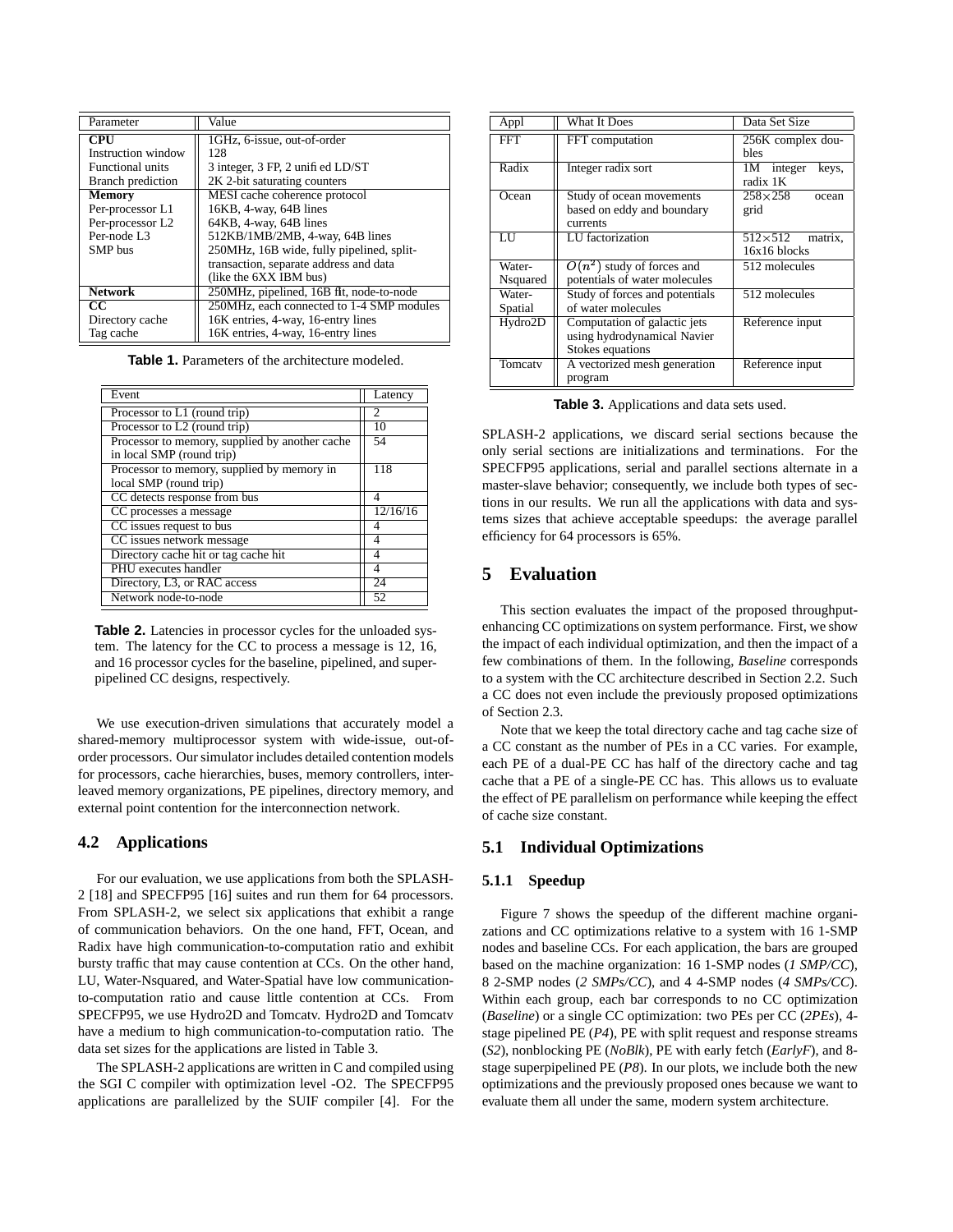| Parameter                                                                       | Value                                                                                                                                                                                                                                 |
|---------------------------------------------------------------------------------|---------------------------------------------------------------------------------------------------------------------------------------------------------------------------------------------------------------------------------------|
| CPU                                                                             | 1GHz, 6-issue, out-of-order                                                                                                                                                                                                           |
| Instruction window                                                              | 128                                                                                                                                                                                                                                   |
| <b>Functional units</b>                                                         | 3 integer, 3 FP, 2 unified LD/ST                                                                                                                                                                                                      |
| <b>Branch</b> prediction                                                        | 2K 2-bit saturating counters                                                                                                                                                                                                          |
| Memory<br>Per-processor L1<br>Per-processor L2<br>Per-node L3<br><b>SMP</b> bus | MESI cache coherence protocol<br>16KB, 4-way, 64B lines<br>64KB, 4-way, 64B lines<br>512KB/1MB/2MB, 4-way, 64B lines<br>250MHz, 16B wide, fully pipelined, split-<br>transaction, separate address and data<br>(like the 6XX IBM bus) |
| <b>Network</b>                                                                  | 250MHz, pipelined, 16B fit, node-to-node                                                                                                                                                                                              |
| CC.                                                                             | 250MHz, each connected to 1-4 SMP modules                                                                                                                                                                                             |
| Directory cache                                                                 | 16K entries, 4-way, 16-entry lines                                                                                                                                                                                                    |
| Tag cache                                                                       | 16K entries, 4-way, 16-entry lines                                                                                                                                                                                                    |

**Table 1.** Parameters of the architecture modeled.

| Event                                                                       | Latency  |
|-----------------------------------------------------------------------------|----------|
| Processor to L1 (round trip)                                                | 2        |
| Processor to L2 (round trip)                                                | 10       |
| Processor to memory, supplied by another cache<br>in local SMP (round trip) | 54       |
| Processor to memory, supplied by memory in<br>local SMP (round trip)        | 118      |
| CC detects response from bus                                                | 4        |
| CC processes a message                                                      | 12/16/16 |
| CC issues request to bus                                                    | 4        |
| CC issues network message                                                   | 4        |
| Directory cache hit or tag cache hit                                        | 4        |
| PHU executes handler                                                        | 4        |
| Directory, L3, or RAC access                                                | 24       |
| Network node-to-node                                                        | 52       |

**Table 2.** Latencies in processor cycles for the unloaded system. The latency for the CC to process a message is 12, 16, and 16 processor cycles for the baseline, pipelined, and superpipelined CC designs, respectively.

We use execution-driven simulations that accurately model a shared-memory multiprocessor system with wide-issue, out-oforder processors. Oursimulator includes detailed contention models for processors, cache hierarchies, buses, memory controllers, interleaved memory organizations, PE pipelines, directory memory, and external point contention for the interconnection network.

### **4.2 Applications**

For our evaluation, we use applications from both the SPLASH-2 [18] and SPECFP95 [16] suites and run them for 64 processors. From SPLASH-2, we select six applications that exhibit a range of communication behaviors. On the one hand, FFT, Ocean, and Radix have high communication-to-computation ratio and exhibit bursty traffic that may cause contention at CCs. On the other hand, LU, Water-Nsquared, and Water-Spatial have low communicationto-computation ratio and cause little contention at CCs. From SPECFP95, we use Hydro2D and Tomcatv. Hydro2D and Tomcatv have a medium to high communication-to-computation ratio. The data set sizes for the applications are listed in Table 3.

The SPLASH-2 applications are written in C and compiled using the SGI C compiler with optimization level -O2. The SPECFP95 applications are parallelized by the SUIF compiler [4]. For the

| Appl                | What It Does                                                                    | Data Set Size                      |
|---------------------|---------------------------------------------------------------------------------|------------------------------------|
| <b>FFT</b>          | FFT computation                                                                 | 256K complex dou-<br>hles          |
| Radix               | Integer radix sort                                                              | 1M integer<br>keys,<br>radix 1K    |
| Ocean               | Study of ocean movements<br>based on eddy and boundary<br>currents              | $258\times258$<br>ocean<br>grid    |
| LU                  | LU factorization                                                                | 512×512<br>matrix.<br>16x16 blocks |
| Water-<br>Nsquared  | $O(n^2)$ study of forces and<br>potentials of water molecules                   | 512 molecules                      |
| Water-<br>Spatial   | Study of forces and potentials<br>of water molecules                            | $512$ molecules                    |
| Hydro <sub>2D</sub> | Computation of galactic jets<br>using hydrodynamical Navier<br>Stokes equations | Reference input                    |
| Tomcaty             | A vectorized mesh generation<br>program                                         | Reference input                    |

**Table 3.** Applications and data sets used.

SPLASH-2 applications, we discard serial sections because the only serial sections are initializations and terminations. For the SPECFP95 applications, serial and parallel sections alternate in a master-slave behavior; consequently, we include both types of sections in our results. We run all the applications with data and systems sizes that achieve acceptable speedups: the average parallel efficiency for 64 processors is 65%.

# **5 Evaluation**

This section evaluates the impact of the proposed throughputenhancing CC optimizations on system performance. First, we show the impact of each individual optimization, and then the impact of a few combinations of them. In the following, *Baseline* corresponds to a system with the CC architecture described in Section 2.2. Such a CC does not even include the previously proposed optimizations of Section 2.3.

Note that we keep the total directory cache and tag cache size of a CC constant as the number of PEs in a CC varies. For example, each PE of a dual-PE CC has half of the directory cache and tag cache that a PE of a single-PE CC has. This allows us to evaluate the effect of PE parallelism on performance while keeping the effect of cache size constant.

# **5.1 Individual Optimizations**

### **5.1.1 Speedup**

Figure 7 shows the speedup of the different machine organizations and CC optimizations relative to a system with 16 1-SMP nodes and baseline CCs. For each application, the bars are grouped based on the machine organization: 16 1-SMP nodes (*1 SMP/CC*), 8 2-SMP nodes (*2 SMPs/CC*), and 4 4-SMP nodes (*4 SMPs/CC*). Within each group, each bar corresponds to no CC optimization (*Baseline*) or a single CC optimization: two PEs per CC (*2PEs*), 4 stage pipelined PE (*P4*), PE with split request and response streams (*S2*), nonblocking PE (*NoBlk*), PE with early fetch (*EarlyF*), and 8 stage superpipelined PE (*P8*). In our plots, we include both the new optimizations and the previously proposed ones because we want to evaluate them all under the same, modern system architecture.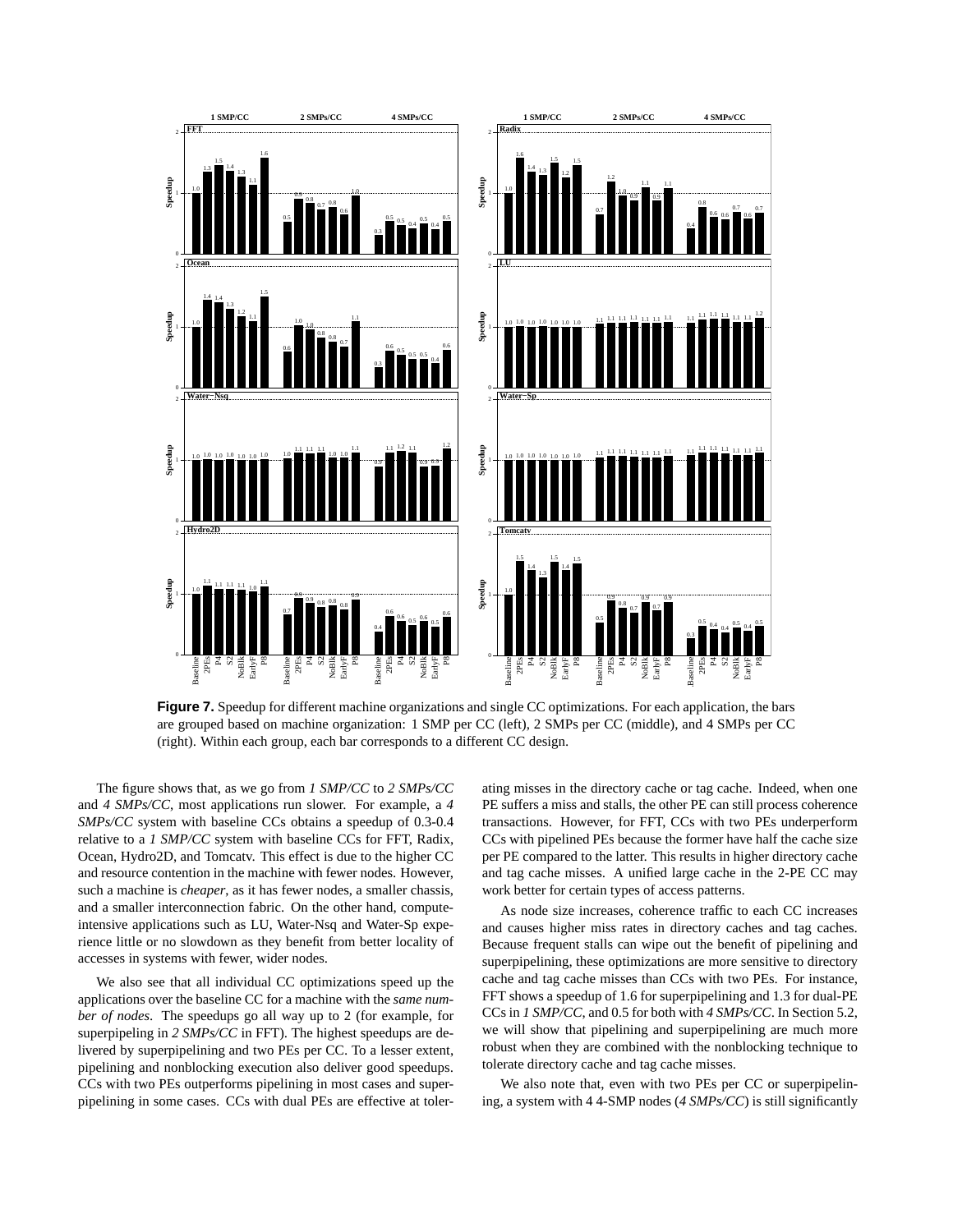

**Figure 7.** Speedup for different machine organizations and single CC optimizations. For each application, the bars are grouped based on machine organization: 1 SMP per CC (left), 2 SMPs per CC (middle), and 4 SMPs per CC (right). Within each group, each bar corresponds to a different CC design.

The figure shows that, as we go from *1 SMP/CC* to *2 SMPs/CC* and *4 SMPs/CC*, most applications run slower. For example, a *4 SMPs/CC* system with baseline CCs obtains a speedup of 0.3-0.4 relative to a *1 SMP/CC* system with baseline CCs for FFT, Radix, Ocean, Hydro2D, and Tomcatv. This effect is due to the higher CC and resource contention in the machine with fewer nodes. However, such a machine is *cheaper*, as it has fewer nodes, a smaller chassis, and a smaller interconnection fabric. On the other hand, computeintensive applications such as LU, Water-Nsq and Water-Sp experience little or no slowdown as they benefit from better locality of accesses in systems with fewer, wider nodes.

We also see that all individual CC optimizations speed up the applications over the baseline CC for a machine with the *same number of nodes*. The speedups go all way up to 2 (for example, for superpipeling in *2 SMPs/CC* in FFT). The highest speedups are delivered by superpipelining and two PEs per CC. To a lesser extent, pipelining and nonblocking execution also deliver good speedups. CCs with two PEs outperforms pipelining in most cases and superpipelining in some cases. CCs with dual PEs are effective at tolerating misses in the directory cache or tag cache. Indeed, when one PE suffers a miss and stalls, the other PE can still process coherence transactions. However, for FFT, CCs with two PEs underperform CCs with pipelined PEs because the former have half the cache size per PE compared to the latter. This results in higher directory cache and tag cache misses. A unified large cache in the 2-PE CC may work better for certain types of access patterns.

As node size increases, coherence traffic to each CC increases and causes higher miss rates in directory caches and tag caches. Because frequent stalls can wipe out the benefit of pipelining and superpipelining, these optimizations are more sensitive to directory cache and tag cache misses than CCs with two PEs. For instance, FFT shows a speedup of 1.6 for superpipelining and 1.3 for dual-PE CCs in *1 SMP/CC*, and 0.5 for both with *4 SMPs/CC*. In Section 5.2, we will show that pipelining and superpipelining are much more robust when they are combined with the nonblocking technique to tolerate directory cache and tag cache misses.

We also note that, even with two PEs per CC or superpipelining, a system with 4 4-SMP nodes (*4 SMPs/CC*) is still significantly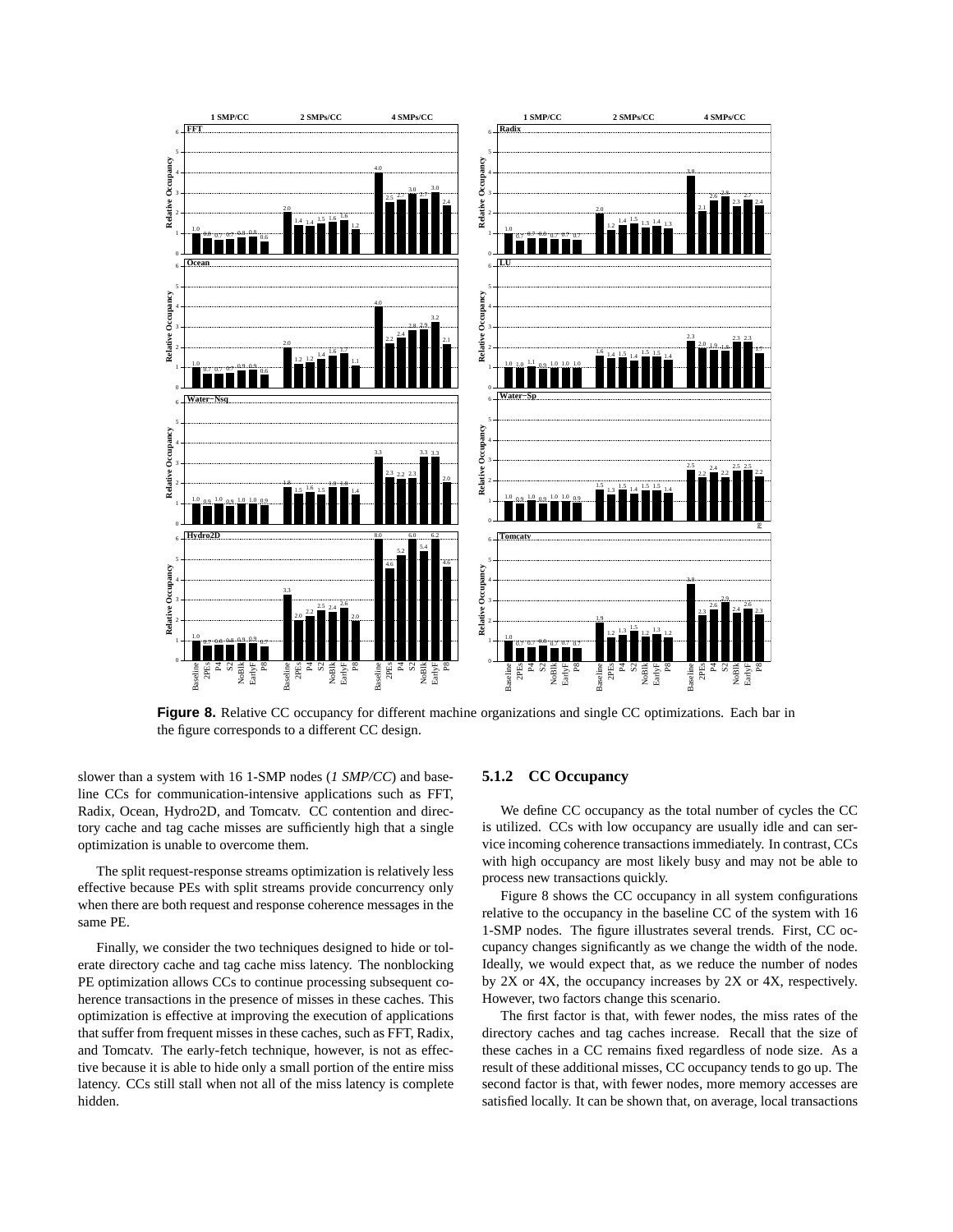

**Figure 8.** Relative CC occupancy for different machine organizations and single CC optimizations. Each bar in the figure corresponds to a different CC design.

slower than a system with 16 1-SMP nodes (*1 SMP/CC*) and baseline CCs for communication-intensive applications such as FFT, Radix, Ocean, Hydro2D, and Tomcatv. CC contention and directory cache and tag cache misses are sufficiently high that a single optimization is unable to overcome them.

The split request-response streams optimization is relatively less effective because PEs with split streams provide concurrency only when there are both request and response coherence messages in the same PE.

Finally, we consider the two techniques designed to hide or tolerate directory cache and tag cache miss latency. The nonblocking PE optimization allows CCs to continue processing subsequent coherence transactions in the presence of misses in these caches. This optimization is effective at improving the execution of applications that suffer from frequent misses in these caches, such as FFT, Radix, and Tomcatv. The early-fetch technique, however, is not as effective because it is able to hide only a small portion of the entire miss latency. CCs still stall when not all of the miss latency is complete hidden.

# **5.1.2 CC Occupancy**

We define CC occupancy as the total number of cycles the CC is utilized. CCs with low occupancy are usually idle and can service incoming coherence transactions immediately. In contrast, CCs with high occupancy are most likely busy and may not be able to process new transactions quickly.

Figure 8 shows the CC occupancy in all system configurations relative to the occupancy in the baseline CC of the system with 16 1-SMP nodes. The figure illustrates several trends. First, CC occupancy changes significantly as we change the width of the node. Ideally, we would expect that, as we reduce the number of nodes by 2X or 4X, the occupancy increases by 2X or 4X, respectively. However, two factors change this scenario.

The first factor is that, with fewer nodes, the miss rates of the directory caches and tag caches increase. Recall that the size of these caches in a CC remains fixed regardless of node size. As a result of these additional misses, CC occupancy tends to go up. The second factor is that, with fewer nodes, more memory accesses are satisfied locally. It can be shown that, on average, local transactions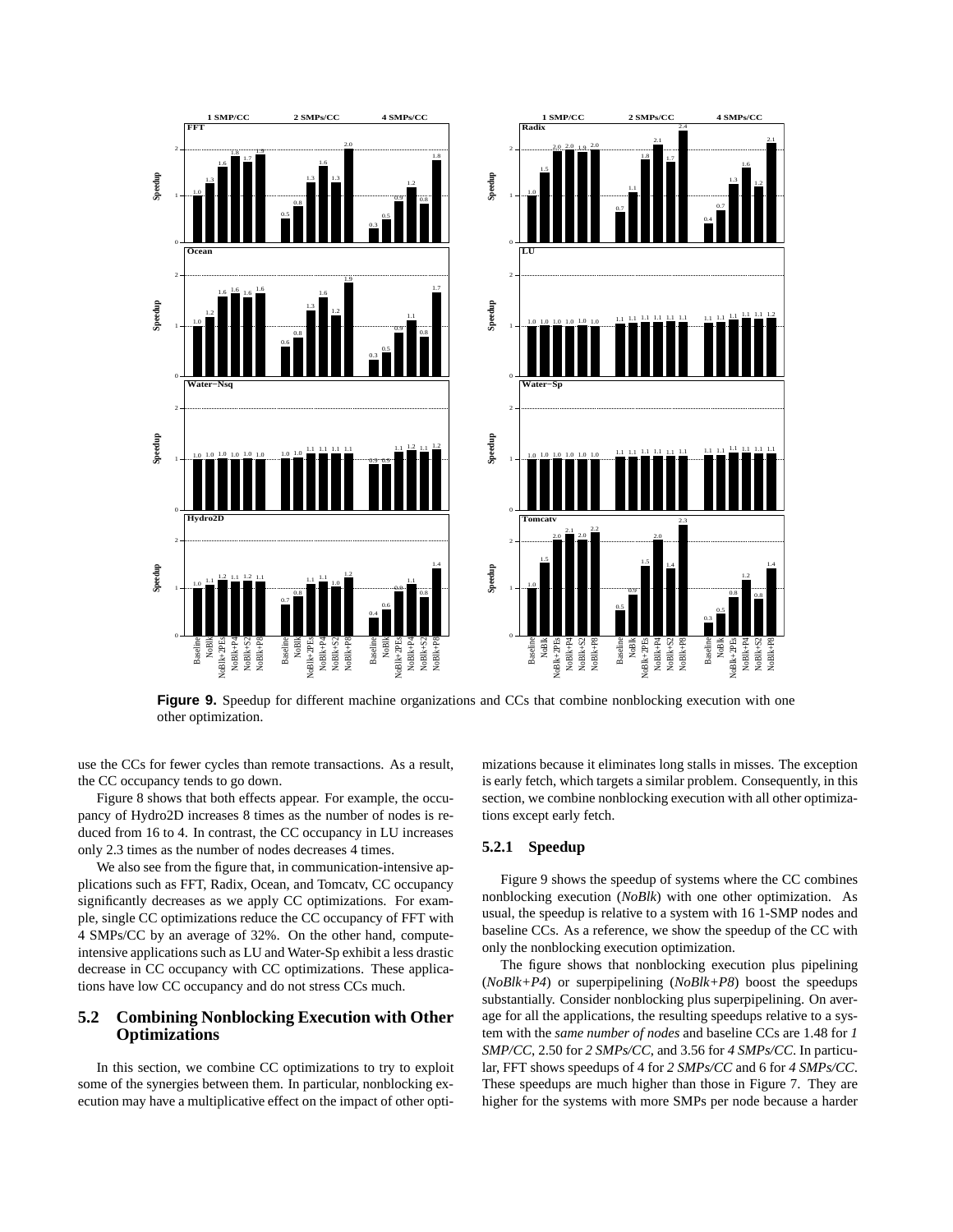

**Figure 9.** Speedup for different machine organizations and CCs that combine nonblocking execution with one other optimization.

use the CCs for fewer cycles than remote transactions. As a result, the CC occupancy tends to go down.

Figure 8 shows that both effects appear. For example, the occupancy of Hydro2D increases 8 times as the number of nodes is reduced from 16 to 4. In contrast, the CC occupancy in LU increases only 2.3 times as the number of nodes decreases 4 times.

We also see from the figure that, in communication-intensive applications such as FFT, Radix, Ocean, and Tomcatv, CC occupancy significantly decreases as we apply CC optimizations. For example, single CC optimizations reduce the CC occupancy of FFT with 4 SMPs/CC by an average of 32%. On the other hand, computeintensive applications such as LU and Water-Sp exhibit a less drastic decrease in CC occupancy with CC optimizations. These applications have low CC occupancy and do not stress CCs much.

### **5.2 Combining Nonblocking Execution with Other Optimizations**

In this section, we combine CC optimizations to try to exploit some of the synergies between them. In particular, nonblocking execution may have a multiplicative effect on the impact of other optimizations because it eliminates long stalls in misses. The exception is early fetch, which targets a similar problem. Consequently, in this section, we combine nonblocking execution with all other optimizations except early fetch.

### **5.2.1 Speedup**

Figure 9 shows the speedup of systems where the CC combines nonblocking execution (*NoBlk*) with one other optimization. As usual, the speedup is relative to a system with 16 1-SMP nodes and baseline CCs. As a reference, we show the speedup of the CC with only the nonblocking execution optimization.

The figure shows that nonblocking execution plus pipelining (*NoBlk+P4*) or superpipelining (*NoBlk+P8*) boost the speedups substantially. Consider nonblocking plus superpipelining. On average for all the applications, the resulting speedups relative to a system with the *same number of nodes* and baseline CCs are 1.48 for *1 SMP/CC*, 2.50 for *2 SMPs/CC*, and 3.56 for *4 SMPs/CC*. In particular, FFT shows speedups of 4 for *2 SMPs/CC* and 6 for *4 SMPs/CC*. These speedups are much higher than those in Figure 7. They are higher for the systems with more SMPs per node because a harder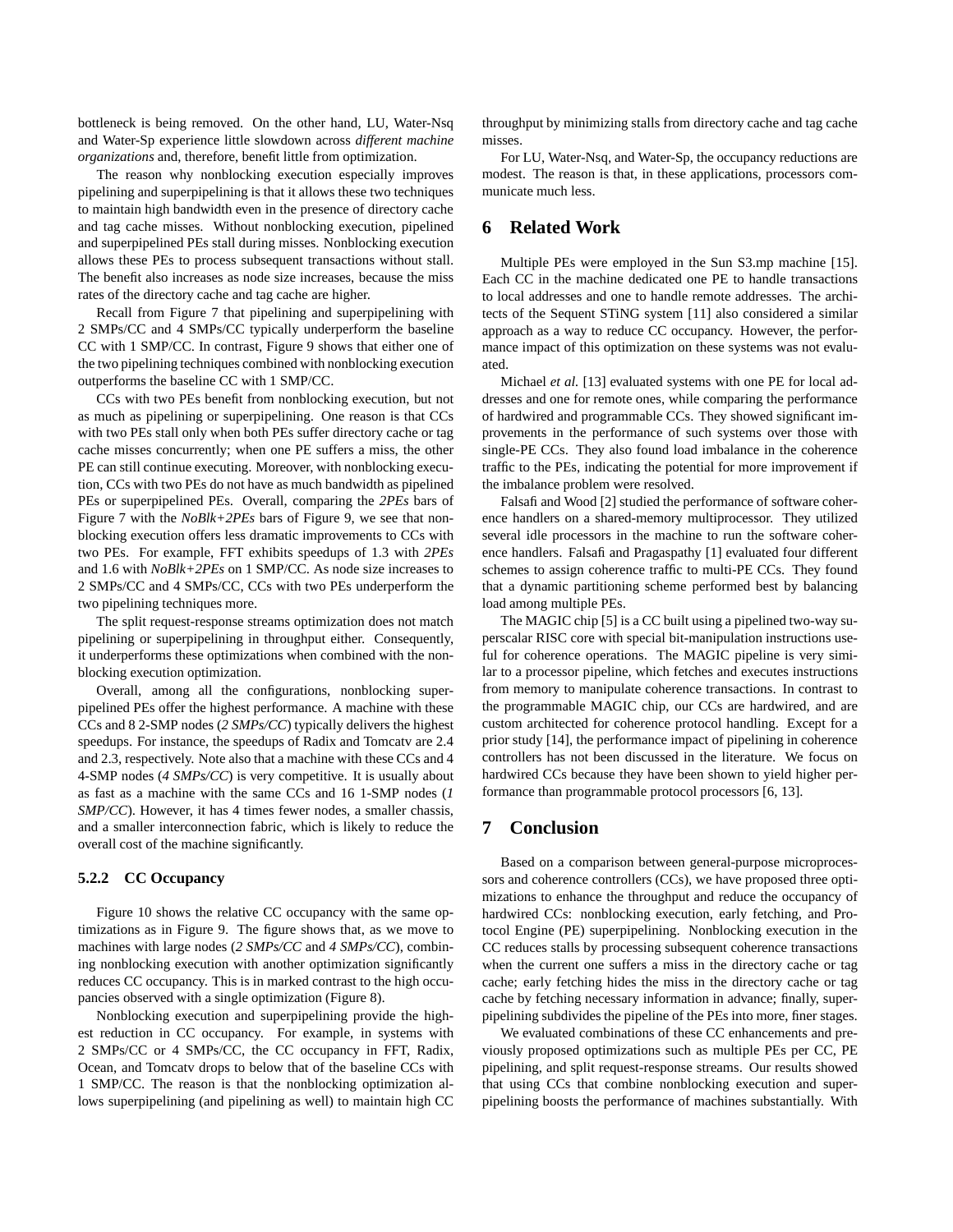bottleneck is being removed. On the other hand, LU, Water-Nsq and Water-Sp experience little slowdown across *different machine organizations* and, therefore, benefit little from optimization.

The reason why nonblocking execution especially improves pipelining and superpipelining is that it allows these two techniques to maintain high bandwidth even in the presence of directory cache and tag cache misses. Without nonblocking execution, pipelined and superpipelined PEs stall during misses. Nonblocking execution allows these PEs to process subsequent transactions without stall. The benefit also increases as node size increases, because the miss rates of the directory cache and tag cache are higher.

Recall from Figure 7 that pipelining and superpipelining with 2 SMPs/CC and 4 SMPs/CC typically underperform the baseline CC with 1 SMP/CC. In contrast, Figure 9 shows that either one of the two pipelining techniques combined with nonblocking execution outperforms the baseline CC with 1 SMP/CC.

CCs with two PEs benefit from nonblocking execution, but not as much as pipelining or superpipelining. One reason is that CCs with two PEs stall only when both PEs suffer directory cache or tag cache misses concurrently; when one PE suffers a miss, the other PE can still continue executing. Moreover, with nonblocking execution, CCs with two PEs do not have as much bandwidth as pipelined PEs or superpipelined PEs. Overall, comparing the *2PEs* bars of Figure 7 with the *NoBlk+2PEs* bars of Figure 9, we see that nonblocking execution offers less dramatic improvements to CCs with two PEs. For example, FFT exhibits speedups of 1.3 with *2PEs* and 1.6 with *NoBlk+2PEs* on 1 SMP/CC. As node size increases to 2 SMPs/CC and 4 SMPs/CC, CCs with two PEs underperform the two pipelining techniques more.

The split request-response streams optimization does not match pipelining or superpipelining in throughput either. Consequently, it underperforms these optimizations when combined with the nonblocking execution optimization.

Overall, among all the configurations, nonblocking superpipelined PEs offer the highest performance. A machine with these CCs and 8 2-SMP nodes (*2 SMPs/CC*) typically delivers the highest speedups. For instance, the speedups of Radix and Tomcatv are 2.4 and 2.3, respectively. Note also that a machine with these CCs and 4 4-SMP nodes (*4 SMPs/CC*) is very competitive. It is usually about as fast as a machine with the same CCs and 16 1-SMP nodes (*1 SMP/CC*). However, it has 4 times fewer nodes, a smaller chassis, and a smaller interconnection fabric, which is likely to reduce the overall cost of the machine significantly.

#### **5.2.2 CC Occupancy**

Figure 10 shows the relative CC occupancy with the same optimizations as in Figure 9. The figure shows that, as we move to machines with large nodes (*2 SMPs/CC* and *4 SMPs/CC*), combining nonblocking execution with another optimization significantly reduces CC occupancy. This is in marked contrast to the high occupancies observed with a single optimization (Figure 8).

Nonblocking execution and superpipelining provide the highest reduction in CC occupancy. For example, in systems with 2 SMPs/CC or 4 SMPs/CC, the CC occupancy in FFT, Radix, Ocean, and Tomcatv drops to below that of the baseline CCs with 1 SMP/CC. The reason is that the nonblocking optimization allows superpipelining (and pipelining as well) to maintain high CC throughput by minimizing stalls from directory cache and tag cache misses.

For LU, Water-Nsq, and Water-Sp, the occupancy reductions are modest. The reason is that, in these applications, processors communicate much less.

# **6 Related Work**

Multiple PEs were employed in the Sun S3.mp machine [15]. Each CC in the machine dedicated one PE to handle transactions to local addresses and one to handle remote addresses. The architects of the Sequent STiNG system [11] also considered a similar approach as a way to reduce CC occupancy. However, the performance impact of this optimization on these systems was not evaluated.

Michael *et al.* [13] evaluated systems with one PE for local addresses and one for remote ones, while comparing the performance of hardwired and programmable CCs. They showed significant improvements in the performance of such systems over those with single-PE CCs. They also found load imbalance in the coherence traffic to the PEs, indicating the potential for more improvement if the imbalance problem were resolved.

Falsafi and Wood [2] studied the performance of software coherence handlers on a shared-memory multiprocessor. They utilized several idle processors in the machine to run the software coherence handlers. Falsafi and Pragaspathy [1] evaluated four different schemes to assign coherence traffic to multi-PE CCs. They found that a dynamic partitioning scheme performed best by balancing load among multiple PEs.

The MAGIC chip [5] is a CC built using a pipelined two-way superscalar RISC core with special bit-manipulation instructions useful for coherence operations. The MAGIC pipeline is very similar to a processor pipeline, which fetches and executes instructions from memory to manipulate coherence transactions. In contrast to the programmable MAGIC chip, our CCs are hardwired, and are custom architected for coherence protocol handling. Except for a prior study [14], the performance impact of pipelining in coherence controllers has not been discussed in the literature. We focus on hardwired CCs because they have been shown to yield higher performance than programmable protocol processors [6, 13].

# **7 Conclusion**

Based on a comparison between general-purpose microprocessors and coherence controllers (CCs), we have proposed three optimizations to enhance the throughput and reduce the occupancy of hardwired CCs: nonblocking execution, early fetching, and Protocol Engine (PE) superpipelining. Nonblocking execution in the CC reduces stalls by processing subsequent coherence transactions when the current one suffers a miss in the directory cache or tag cache; early fetching hides the miss in the directory cache or tag cache by fetching necessary information in advance; finally, superpipelining subdivides the pipeline of the PEs into more, finer stages.

We evaluated combinations of these CC enhancements and previously proposed optimizations such as multiple PEs per CC, PE pipelining, and split request-response streams. Our results showed that using CCs that combine nonblocking execution and superpipelining boosts the performance of machines substantially. With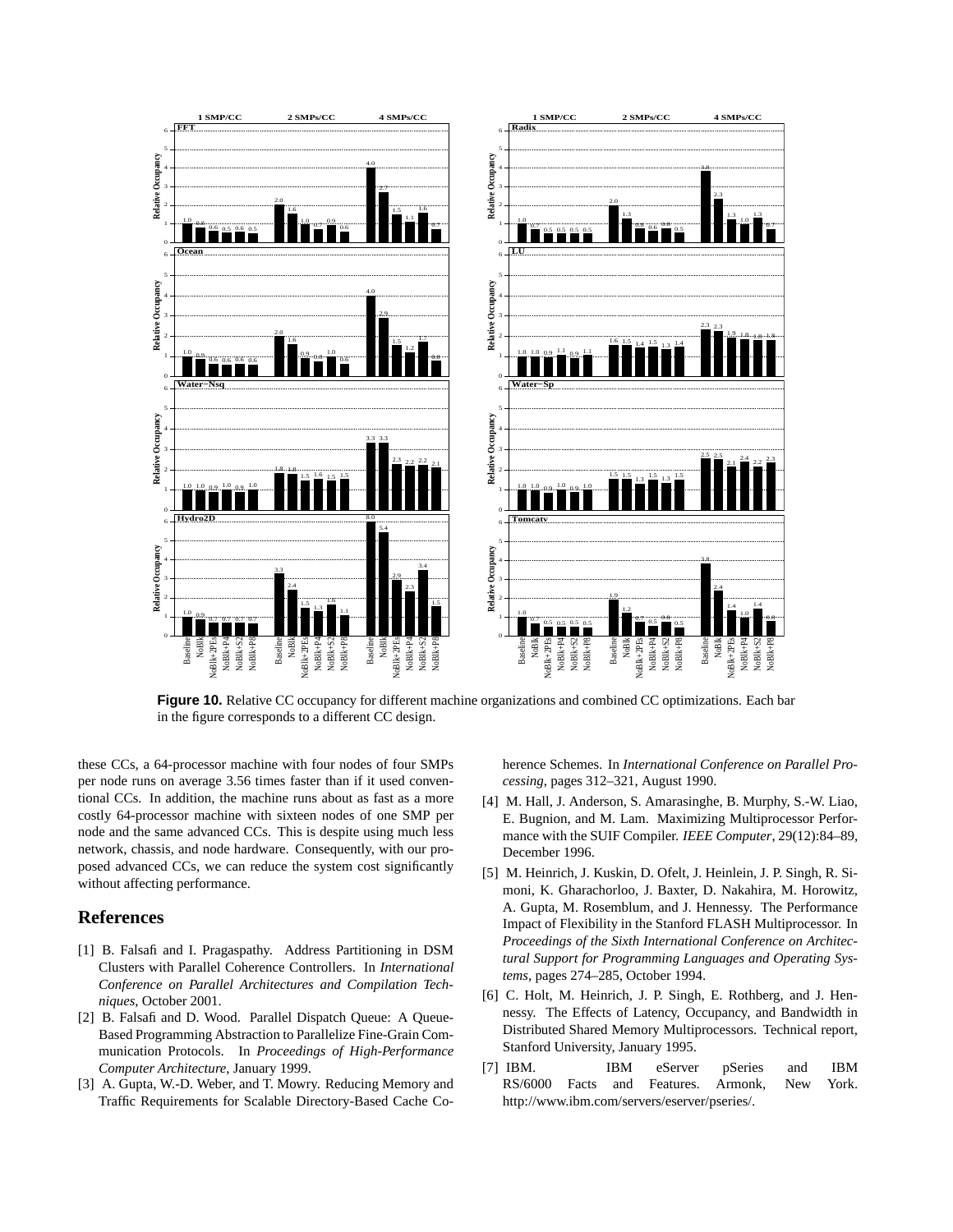

**Figure 10.** Relative CC occupancy for different machine organizations and combined CC optimizations. Each bar in the figure corresponds to a different CC design.

these CCs, a 64-processor machine with four nodes of four SMPs per node runs on average 3.56 times faster than if it used conventional CCs. In addition, the machine runs about as fast as a more costly 64-processor machine with sixteen nodes of one SMP per node and the same advanced CCs. This is despite using much less network, chassis, and node hardware. Consequently, with our proposed advanced CCs, we can reduce the system cost significantly without affecting performance.

# **References**

- [1] B. Falsafi and I. Pragaspathy. Address Partitioning in DSM Clusters with Parallel Coherence Controllers. In *International Conference on Parallel Architectures and Compilation Techniques*, October 2001.
- [2] B. Falsafi and D. Wood. Parallel Dispatch Queue: A Queue-Based Programming Abstraction to Parallelize Fine-Grain Communication Protocols. In *Proceedings of High-Performance Computer Architecture*, January 1999.
- [3] A. Gupta, W.-D. Weber, and T. Mowry. Reducing Memory and Traffic Requirements for Scalable Directory-Based Cache Co-

herence Schemes. In *International Conference on Parallel Processing*, pages 312–321, August 1990.

- [4] M. Hall, J. Anderson, S. Amarasinghe, B. Murphy, S.-W. Liao, E. Bugnion, and M. Lam. Maximizing Multiprocessor Performance with the SUIF Compiler. *IEEE Computer*, 29(12):84–89, December 1996.
- [5] M. Heinrich, J. Kuskin, D. Ofelt, J. Heinlein, J. P. Singh, R. Simoni, K. Gharachorloo, J. Baxter, D. Nakahira, M. Horowitz, A. Gupta, M. Rosemblum, and J. Hennessy. The Performance Impact of Flexibility in the Stanford FLASH Multiprocessor. In *Proceedings of the Sixth International Conference on Architectural Support for Programming Languages and Operating Systems*, pages 274–285, October 1994.
- [6] C. Holt, M. Heinrich, J. P. Singh, E. Rothberg, and J. Hennessy. The Effects of Latency, Occupancy, and Bandwidth in Distributed Shared Memory Multiprocessors. Technical report, Stanford University, January 1995.
- [7] IBM. IBM eServer pSeries and IBM RS/6000 Facts and Features. Armonk, New York. http://www.ibm.com/servers/eserver/pseries/.